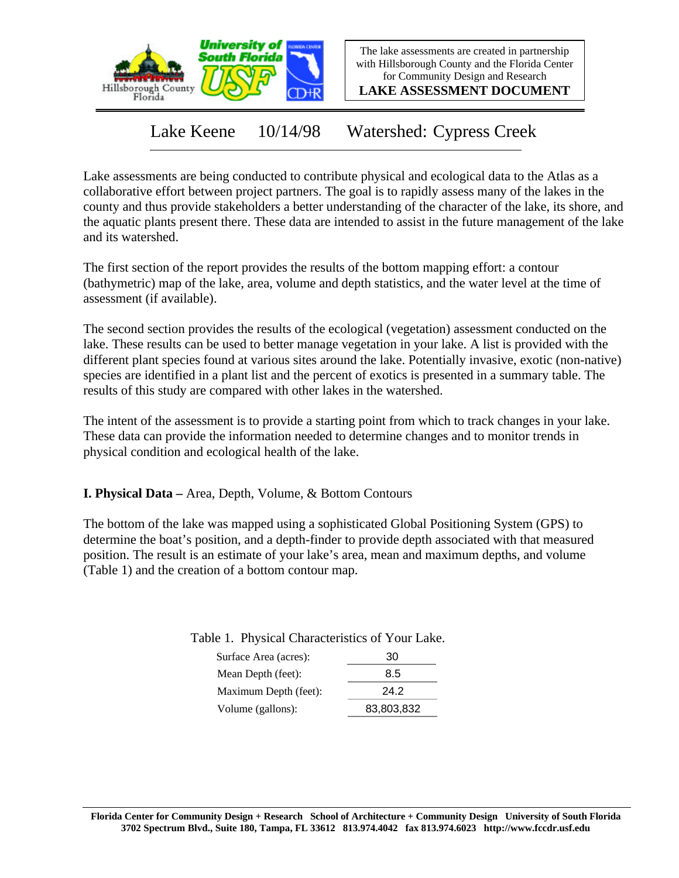

The lake assessments are created in partnership with Hillsborough County and the Florida Center for Community Design and Research

**LAKE ASSESSMENT DOCUMENT**

Lake Keene 10/14/98 Watershed: Cypress Creek

Lake assessments are being conducted to contribute physical and ecological data to the Atlas as a collaborative effort between project partners. The goal is to rapidly assess many of the lakes in the county and thus provide stakeholders a better understanding of the character of the lake, its shore, and the aquatic plants present there. These data are intended to assist in the future management of the lake and its watershed.

The first section of the report provides the results of the bottom mapping effort: a contour (bathymetric) map of the lake, area, volume and depth statistics, and the water level at the time of assessment (if available).

The second section provides the results of the ecological (vegetation) assessment conducted on the lake. These results can be used to better manage vegetation in your lake. A list is provided with the different plant species found at various sites around the lake. Potentially invasive, exotic (non-native) species are identified in a plant list and the percent of exotics is presented in a summary table. The results of this study are compared with other lakes in the watershed.

The intent of the assessment is to provide a starting point from which to track changes in your lake. These data can provide the information needed to determine changes and to monitor trends in physical condition and ecological health of the lake.

**I. Physical Data –** Area, Depth, Volume, & Bottom Contours

The bottom of the lake was mapped using a sophisticated Global Positioning System (GPS) to determine the boat's position, and a depth-finder to provide depth associated with that measured position. The result is an estimate of your lake's area, mean and maximum depths, and volume (Table 1) and the creation of a bottom contour map.

| Surface Area (acres): | -30 |
|-----------------------|-----|
| Mean Denth $(f$ eet); | 85  |

Table 1. Physical Characteristics of Your Lake.

| Mean Depth (feet):    | 8.5        |
|-----------------------|------------|
| Maximum Depth (feet): | 24.2       |
| Volume (gallons):     | 83,803,832 |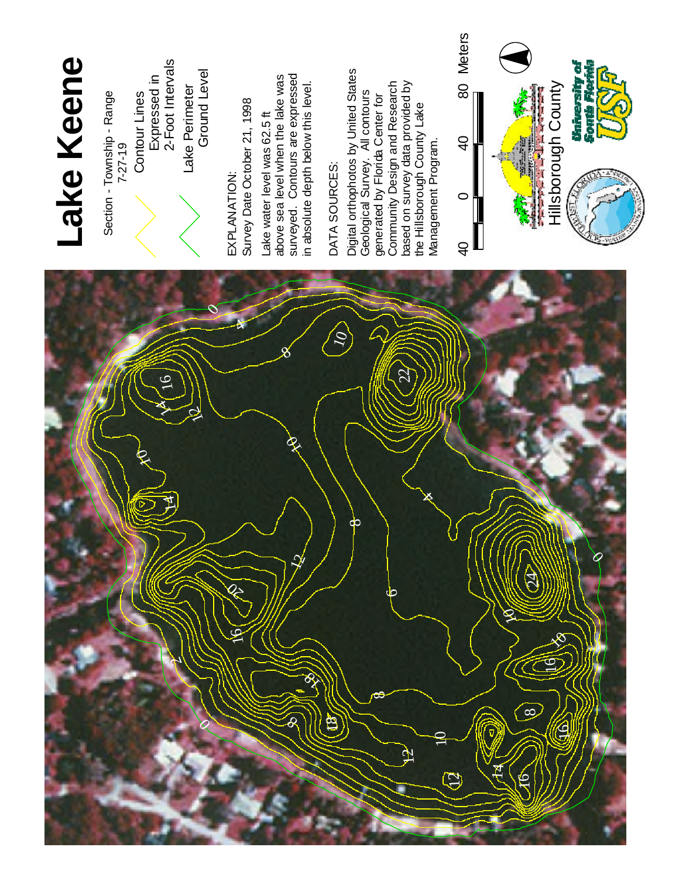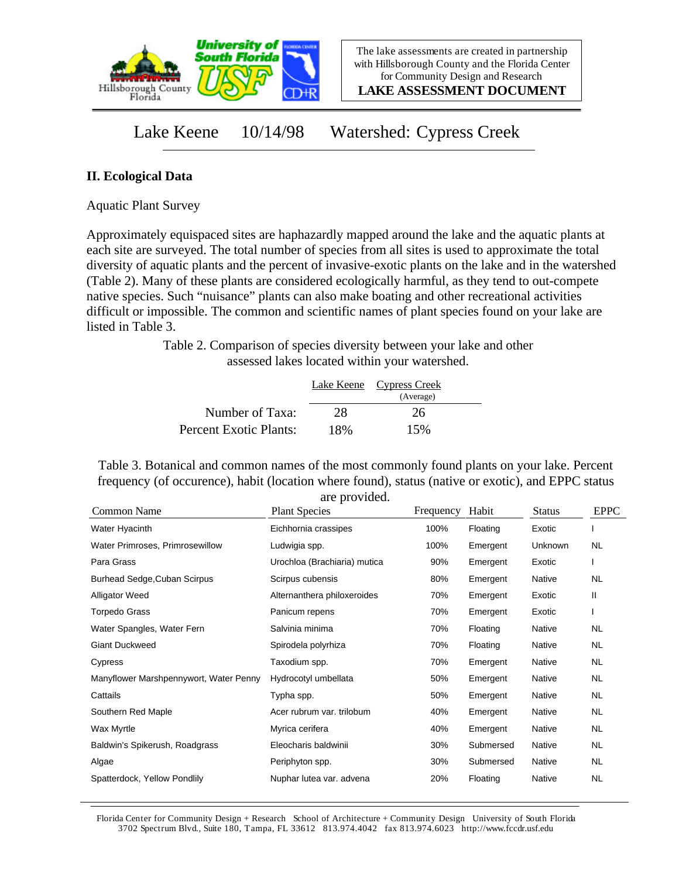

**LAKE ASSESSMENT DOCUMENT**

## Lake Keene 10/14/98 Watershed: Cypress Creek

## **II. Ecological Data**

Aquatic Plant Survey

Approximately equispaced sites are haphazardly mapped around the lake and the aquatic plants at each site are surveyed. The total number of species from all sites is used to approximate the total diversity of aquatic plants and the percent of invasive-exotic plants on the lake and in the watershed (Table 2). Many of these plants are considered ecologically harmful, as they tend to out-compete native species. Such "nuisance" plants can also make boating and other recreational activities difficult or impossible. The common and scientific names of plant species found on your lake are listed in Table 3.

> Table 2. Comparison of species diversity between your lake and other assessed lakes located within your watershed.

|                        |     | Lake Keene Cypress Creek |  |
|------------------------|-----|--------------------------|--|
|                        |     | (Average)                |  |
| Number of Taxa:        | 28  | 26                       |  |
| Percent Exotic Plants: | 18% | 15%                      |  |

Table 3. Botanical and common names of the most commonly found plants on your lake. Percent frequency (of occurence), habit (location where found), status (native or exotic), and EPPC status are provided.

| Common Name                            | <b>Plant Species</b>         | Frequency | Habit     | <b>Status</b> | <b>EPPC</b> |
|----------------------------------------|------------------------------|-----------|-----------|---------------|-------------|
| Water Hyacinth                         | Eichhornia crassipes         | 100%      | Floating  | Exotic        |             |
| Water Primroses, Primrosewillow        | Ludwigia spp.                | 100%      | Emergent  | Unknown       | NL.         |
| Para Grass                             | Urochloa (Brachiaria) mutica | 90%       | Emergent  | Exotic        |             |
| Burhead Sedge, Cuban Scirpus           | Scirpus cubensis             | 80%       | Emergent  | Native        | NL          |
| <b>Alligator Weed</b>                  | Alternanthera philoxeroides  | 70%       | Emergent  | Exotic        | Ш           |
| Torpedo Grass                          | Panicum repens               | 70%       | Emergent  | Exotic        |             |
| Water Spangles, Water Fern             | Salvinia minima              | 70%       | Floating  | Native        | NL          |
| <b>Giant Duckweed</b>                  | Spirodela polyrhiza          | 70%       | Floating  | Native        | NL.         |
| Cypress                                | Taxodium spp.                | 70%       | Emergent  | Native        | NL          |
| Manyflower Marshpennywort, Water Penny | Hydrocotyl umbellata         | 50%       | Emergent  | Native        | NL.         |
| Cattails                               | Typha spp.                   | 50%       | Emergent  | <b>Native</b> | NL          |
| Southern Red Maple                     | Acer rubrum var. trilobum    | 40%       | Emergent  | Native        | NL          |
| Wax Myrtle                             | Myrica cerifera              | 40%       | Emergent  | Native        | <b>NL</b>   |
| Baldwin's Spikerush, Roadgrass         | Eleocharis baldwinii         | 30%       | Submersed | Native        | NL.         |
| Algae                                  | Periphyton spp.              | 30%       | Submersed | Native        | NL.         |
| Spatterdock, Yellow Pondlily           | Nuphar lutea var. advena     | 20%       | Floating  | <b>Native</b> | <b>NL</b>   |

Florida Center for Community Design + Research School of Architecture + Community Design University of South Florida 3702 Spectrum Blvd., Suite 180, Tampa, FL 33612 813.974.4042 fax 813.974.6023 http://www.fccdr.usf.edu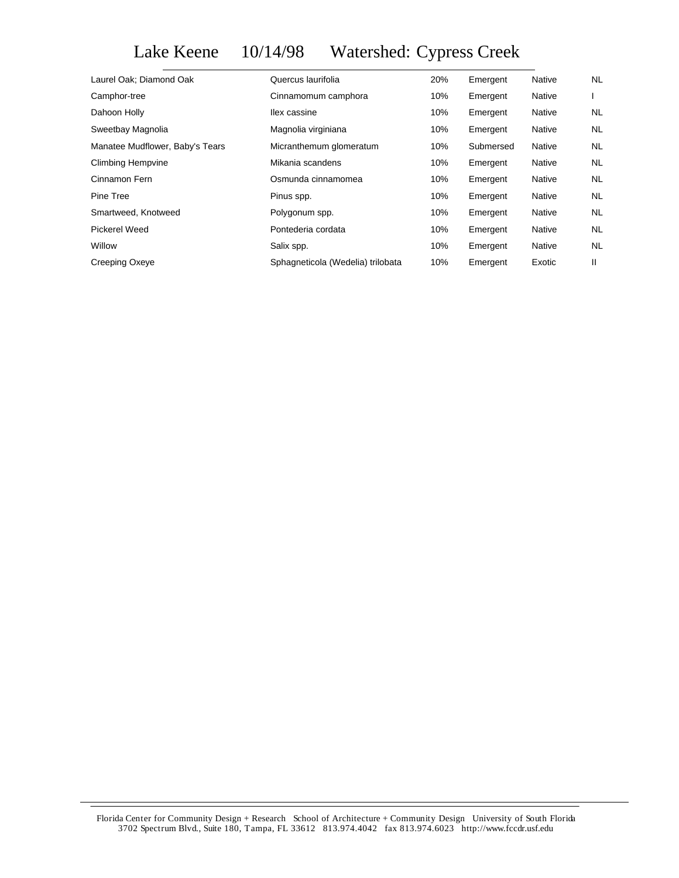## Lake Keene 10/14/98 Watershed: Cypress Creek

| Laurel Oak; Diamond Oak         | Quercus laurifolia                | 20% | Emergent  | Native        | NL        |
|---------------------------------|-----------------------------------|-----|-----------|---------------|-----------|
| Camphor-tree                    | Cinnamomum camphora               | 10% | Emergent  | <b>Native</b> |           |
| Dahoon Holly                    | llex cassine                      | 10% | Emergent  | <b>Native</b> | NL.       |
| Sweetbay Magnolia               | Magnolia virginiana               | 10% | Emergent  | <b>Native</b> | <b>NL</b> |
| Manatee Mudflower, Baby's Tears | Micranthemum glomeratum           | 10% | Submersed | <b>Native</b> | <b>NL</b> |
| <b>Climbing Hempvine</b>        | Mikania scandens                  | 10% | Emergent  | Native        | NL        |
| Cinnamon Fern                   | Osmunda cinnamomea                | 10% | Emergent  | Native        | NL        |
| Pine Tree                       | Pinus spp.                        | 10% | Emergent  | Native        | <b>NL</b> |
| Smartweed, Knotweed             | Polygonum spp.                    | 10% | Emergent  | <b>Native</b> | <b>NL</b> |
| Pickerel Weed                   | Pontederia cordata                | 10% | Emergent  | Native        | <b>NL</b> |
| Willow                          | Salix spp.                        | 10% | Emergent  | Native        | <b>NL</b> |
| Creeping Oxeye                  | Sphagneticola (Wedelia) trilobata | 10% | Emergent  | Exotic        | Ш         |
|                                 |                                   |     |           |               |           |